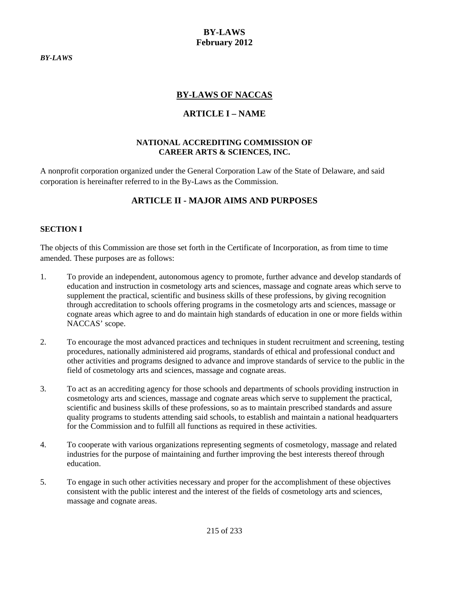*BY-LAWS*

### **BY-LAWS February 2012**

## **BY-LAWS OF NACCAS**

## **ARTICLE I – NAME**

#### **NATIONAL ACCREDITING COMMISSION OF CAREER ARTS & SCIENCES, INC.**

A nonprofit corporation organized under the General Corporation Law of the State of Delaware, and said corporation is hereinafter referred to in the By-Laws as the Commission.

# **ARTICLE II - MAJOR AIMS AND PURPOSES**

### **SECTION I**

The objects of this Commission are those set forth in the Certificate of Incorporation, as from time to time amended. These purposes are as follows:

- 1. To provide an independent, autonomous agency to promote, further advance and develop standards of education and instruction in cosmetology arts and sciences, massage and cognate areas which serve to supplement the practical, scientific and business skills of these professions, by giving recognition through accreditation to schools offering programs in the cosmetology arts and sciences, massage or cognate areas which agree to and do maintain high standards of education in one or more fields within NACCAS' scope.
- 2. To encourage the most advanced practices and techniques in student recruitment and screening, testing procedures, nationally administered aid programs, standards of ethical and professional conduct and other activities and programs designed to advance and improve standards of service to the public in the field of cosmetology arts and sciences, massage and cognate areas.
- 3. To act as an accrediting agency for those schools and departments of schools providing instruction in cosmetology arts and sciences, massage and cognate areas which serve to supplement the practical, scientific and business skills of these professions, so as to maintain prescribed standards and assure quality programs to students attending said schools, to establish and maintain a national headquarters for the Commission and to fulfill all functions as required in these activities.
- 4. To cooperate with various organizations representing segments of cosmetology, massage and related industries for the purpose of maintaining and further improving the best interests thereof through education.
- 5. To engage in such other activities necessary and proper for the accomplishment of these objectives consistent with the public interest and the interest of the fields of cosmetology arts and sciences, massage and cognate areas.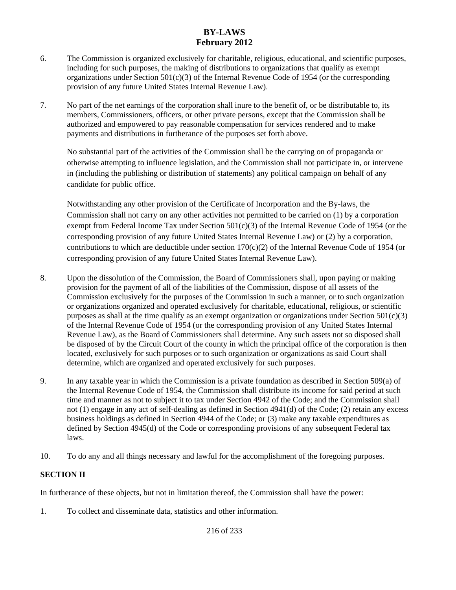- 6. The Commission is organized exclusively for charitable, religious, educational, and scientific purposes, including for such purposes, the making of distributions to organizations that qualify as exempt organizations under Section 501(c)(3) of the Internal Revenue Code of 1954 (or the corresponding provision of any future United States Internal Revenue Law).
- 7. No part of the net earnings of the corporation shall inure to the benefit of, or be distributable to, its members, Commissioners, officers, or other private persons, except that the Commission shall be authorized and empowered to pay reasonable compensation for services rendered and to make payments and distributions in furtherance of the purposes set forth above.

No substantial part of the activities of the Commission shall be the carrying on of propaganda or otherwise attempting to influence legislation, and the Commission shall not participate in, or intervene in (including the publishing or distribution of statements) any political campaign on behalf of any candidate for public office.

Notwithstanding any other provision of the Certificate of Incorporation and the By-laws, the Commission shall not carry on any other activities not permitted to be carried on (1) by a corporation exempt from Federal Income Tax under Section  $501(c)(3)$  of the Internal Revenue Code of 1954 (or the corresponding provision of any future United States Internal Revenue Law) or (2) by a corporation, contributions to which are deductible under section  $170(c)(2)$  of the Internal Revenue Code of 1954 (or corresponding provision of any future United States Internal Revenue Law).

- 8. Upon the dissolution of the Commission, the Board of Commissioners shall, upon paying or making provision for the payment of all of the liabilities of the Commission, dispose of all assets of the Commission exclusively for the purposes of the Commission in such a manner, or to such organization or organizations organized and operated exclusively for charitable, educational, religious, or scientific purposes as shall at the time qualify as an exempt organization or organizations under Section 501(c)(3) of the Internal Revenue Code of 1954 (or the corresponding provision of any United States Internal Revenue Law), as the Board of Commissioners shall determine. Any such assets not so disposed shall be disposed of by the Circuit Court of the county in which the principal office of the corporation is then located, exclusively for such purposes or to such organization or organizations as said Court shall determine, which are organized and operated exclusively for such purposes.
- 9. In any taxable year in which the Commission is a private foundation as described in Section 509(a) of the Internal Revenue Code of 1954, the Commission shall distribute its income for said period at such time and manner as not to subject it to tax under Section 4942 of the Code; and the Commission shall not (1) engage in any act of self-dealing as defined in Section 4941(d) of the Code; (2) retain any excess business holdings as defined in Section 4944 of the Code; or (3) make any taxable expenditures as defined by Section 4945(d) of the Code or corresponding provisions of any subsequent Federal tax laws.
- 10. To do any and all things necessary and lawful for the accomplishment of the foregoing purposes.

### **SECTION II**

In furtherance of these objects, but not in limitation thereof, the Commission shall have the power:

1. To collect and disseminate data, statistics and other information.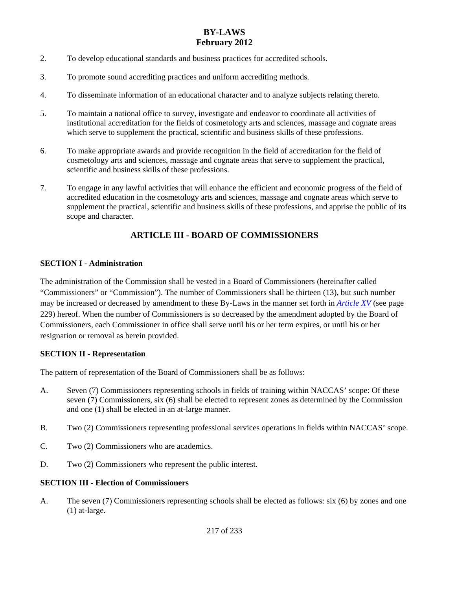- 2. To develop educational standards and business practices for accredited schools.
- 3. To promote sound accrediting practices and uniform accrediting methods.
- 4. To disseminate information of an educational character and to analyze subjects relating thereto.
- 5. To maintain a national office to survey, investigate and endeavor to coordinate all activities of institutional accreditation for the fields of cosmetology arts and sciences, massage and cognate areas which serve to supplement the practical, scientific and business skills of these professions.
- 6. To make appropriate awards and provide recognition in the field of accreditation for the field of cosmetology arts and sciences, massage and cognate areas that serve to supplement the practical, scientific and business skills of these professions.
- 7. To engage in any lawful activities that will enhance the efficient and economic progress of the field of accredited education in the cosmetology arts and sciences, massage and cognate areas which serve to supplement the practical, scientific and business skills of these professions, and apprise the public of its scope and character.

## **ARTICLE III - BOARD OF COMMISSIONERS**

#### **SECTION I - Administration**

The administration of the Commission shall be vested in a Board of Commissioners (hereinafter called "Commissioners" or "Commission"). The number of Commissioners shall be thirteen (13), but such number may be increased or decreased by amendment to these By-Laws in the manner set forth in *Article XV* (see page 229) hereof. When the number of Commissioners is so decreased by the amendment adopted by the Board of Commissioners, each Commissioner in office shall serve until his or her term expires, or until his or her resignation or removal as herein provided.

#### **SECTION II - Representation**

The pattern of representation of the Board of Commissioners shall be as follows:

- A. Seven (7) Commissioners representing schools in fields of training within NACCAS' scope: Of these seven (7) Commissioners, six (6) shall be elected to represent zones as determined by the Commission and one (1) shall be elected in an at-large manner.
- B. Two (2) Commissioners representing professional services operations in fields within NACCAS' scope.
- C. Two (2) Commissioners who are academics.
- D. Two (2) Commissioners who represent the public interest.

#### **SECTION III - Election of Commissioners**

A. The seven (7) Commissioners representing schools shall be elected as follows: six (6) by zones and one (1) at-large.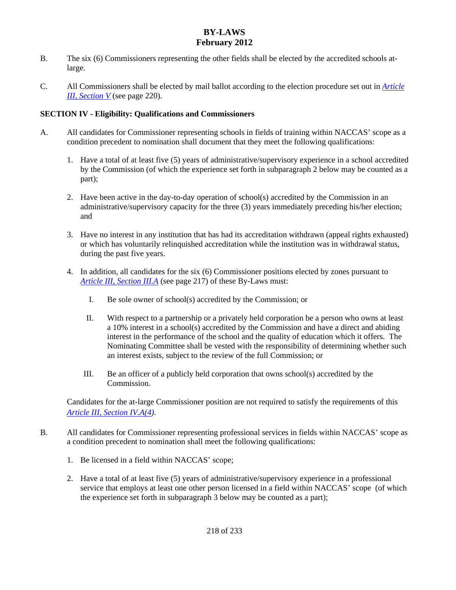- B. The six (6) Commissioners representing the other fields shall be elected by the accredited schools atlarge.
- C. All Commissioners shall be elected by mail ballot according to the election procedure set out in *Article III, Section V* (see page 220).

### **SECTION IV - Eligibility: Qualifications and Commissioners**

- A. All candidates for Commissioner representing schools in fields of training within NACCAS' scope as a condition precedent to nomination shall document that they meet the following qualifications:
	- 1. Have a total of at least five (5) years of administrative/supervisory experience in a school accredited by the Commission (of which the experience set forth in subparagraph 2 below may be counted as a part);
	- 2. Have been active in the day-to-day operation of school(s) accredited by the Commission in an administrative/supervisory capacity for the three (3) years immediately preceding his/her election; and
	- 3. Have no interest in any institution that has had its accreditation withdrawn (appeal rights exhausted) or which has voluntarily relinquished accreditation while the institution was in withdrawal status, during the past five years.
	- 4. In addition, all candidates for the six (6) Commissioner positions elected by zones pursuant to *Article III, Section III.A* (see page 217) of these By-Laws must:
		- I. Be sole owner of school(s) accredited by the Commission; or
		- II. With respect to a partnership or a privately held corporation be a person who owns at least a 10% interest in a school(s) accredited by the Commission and have a direct and abiding interest in the performance of the school and the quality of education which it offers. The Nominating Committee shall be vested with the responsibility of determining whether such an interest exists, subject to the review of the full Commission; or
		- III. Be an officer of a publicly held corporation that owns school(s) accredited by the Commission.

Candidates for the at-large Commissioner position are not required to satisfy the requirements of this *Article III, Section IV.A(4)*.

- B. All candidates for Commissioner representing professional services in fields within NACCAS' scope as a condition precedent to nomination shall meet the following qualifications:
	- 1. Be licensed in a field within NACCAS' scope;
	- 2. Have a total of at least five (5) years of administrative/supervisory experience in a professional service that employs at least one other person licensed in a field within NACCAS' scope (of which the experience set forth in subparagraph 3 below may be counted as a part);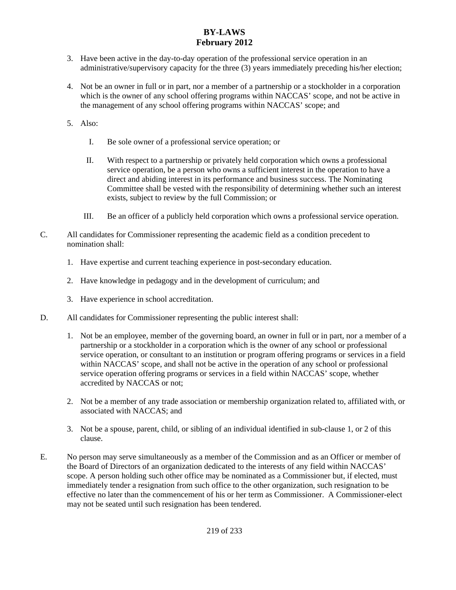- 3. Have been active in the day-to-day operation of the professional service operation in an administrative/supervisory capacity for the three (3) years immediately preceding his/her election;
- 4. Not be an owner in full or in part, nor a member of a partnership or a stockholder in a corporation which is the owner of any school offering programs within NACCAS' scope, and not be active in the management of any school offering programs within NACCAS' scope; and
- 5. Also:
	- I. Be sole owner of a professional service operation; or
	- II. With respect to a partnership or privately held corporation which owns a professional service operation, be a person who owns a sufficient interest in the operation to have a direct and abiding interest in its performance and business success. The Nominating Committee shall be vested with the responsibility of determining whether such an interest exists, subject to review by the full Commission; or
	- III. Be an officer of a publicly held corporation which owns a professional service operation.
- C. All candidates for Commissioner representing the academic field as a condition precedent to nomination shall:
	- 1. Have expertise and current teaching experience in post-secondary education.
	- 2. Have knowledge in pedagogy and in the development of curriculum; and
	- 3. Have experience in school accreditation.
- D. All candidates for Commissioner representing the public interest shall:
	- 1. Not be an employee, member of the governing board, an owner in full or in part, nor a member of a partnership or a stockholder in a corporation which is the owner of any school or professional service operation, or consultant to an institution or program offering programs or services in a field within NACCAS' scope, and shall not be active in the operation of any school or professional service operation offering programs or services in a field within NACCAS' scope, whether accredited by NACCAS or not;
	- 2. Not be a member of any trade association or membership organization related to, affiliated with, or associated with NACCAS; and
	- 3. Not be a spouse, parent, child, or sibling of an individual identified in sub-clause 1, or 2 of this clause.
- E. No person may serve simultaneously as a member of the Commission and as an Officer or member of the Board of Directors of an organization dedicated to the interests of any field within NACCAS' scope. A person holding such other office may be nominated as a Commissioner but, if elected, must immediately tender a resignation from such office to the other organization, such resignation to be effective no later than the commencement of his or her term as Commissioner. A Commissioner-elect may not be seated until such resignation has been tendered.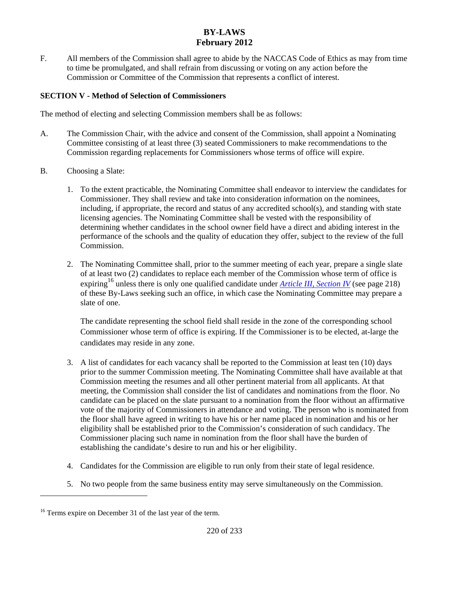F. All members of the Commission shall agree to abide by the NACCAS Code of Ethics as may from time to time be promulgated, and shall refrain from discussing or voting on any action before the Commission or Committee of the Commission that represents a conflict of interest.

### **SECTION V - Method of Selection of Commissioners**

The method of electing and selecting Commission members shall be as follows:

- A. The Commission Chair, with the advice and consent of the Commission, shall appoint a Nominating Committee consisting of at least three (3) seated Commissioners to make recommendations to the Commission regarding replacements for Commissioners whose terms of office will expire.
- B. Choosing a Slate:
	- 1. To the extent practicable, the Nominating Committee shall endeavor to interview the candidates for Commissioner. They shall review and take into consideration information on the nominees, including, if appropriate, the record and status of any accredited school(s), and standing with state licensing agencies. The Nominating Committee shall be vested with the responsibility of determining whether candidates in the school owner field have a direct and abiding interest in the performance of the schools and the quality of education they offer, subject to the review of the full Commission.
	- 2. The Nominating Committee shall, prior to the summer meeting of each year, prepare a single slate of at least two (2) candidates to replace each member of the Commission whose term of office is expiring<sup>16</sup> unless there is only one qualified candidate under *Article III, Section IV* (see page 218) of these By-Laws seeking such an office, in which case the Nominating Committee may prepare a slate of one.

The candidate representing the school field shall reside in the zone of the corresponding school Commissioner whose term of office is expiring. If the Commissioner is to be elected, at-large the candidates may reside in any zone.

- 3. A list of candidates for each vacancy shall be reported to the Commission at least ten (10) days prior to the summer Commission meeting. The Nominating Committee shall have available at that Commission meeting the resumes and all other pertinent material from all applicants. At that meeting, the Commission shall consider the list of candidates and nominations from the floor. No candidate can be placed on the slate pursuant to a nomination from the floor without an affirmative vote of the majority of Commissioners in attendance and voting. The person who is nominated from the floor shall have agreed in writing to have his or her name placed in nomination and his or her eligibility shall be established prior to the Commission's consideration of such candidacy. The Commissioner placing such name in nomination from the floor shall have the burden of establishing the candidate's desire to run and his or her eligibility.
- 4. Candidates for the Commission are eligible to run only from their state of legal residence.
- 5. No two people from the same business entity may serve simultaneously on the Commission.

<sup>&</sup>lt;sup>16</sup> Terms expire on December 31 of the last year of the term.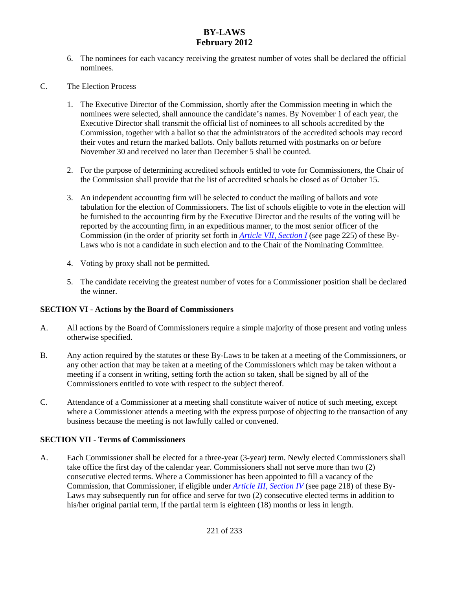- 6. The nominees for each vacancy receiving the greatest number of votes shall be declared the official nominees.
- C. The Election Process
	- 1. The Executive Director of the Commission, shortly after the Commission meeting in which the nominees were selected, shall announce the candidate's names. By November 1 of each year, the Executive Director shall transmit the official list of nominees to all schools accredited by the Commission, together with a ballot so that the administrators of the accredited schools may record their votes and return the marked ballots. Only ballots returned with postmarks on or before November 30 and received no later than December 5 shall be counted.
	- 2. For the purpose of determining accredited schools entitled to vote for Commissioners, the Chair of the Commission shall provide that the list of accredited schools be closed as of October 15.
	- 3. An independent accounting firm will be selected to conduct the mailing of ballots and vote tabulation for the election of Commissioners. The list of schools eligible to vote in the election will be furnished to the accounting firm by the Executive Director and the results of the voting will be reported by the accounting firm, in an expeditious manner, to the most senior officer of the Commission (in the order of priority set forth in *Article VII, Section I* (see page 225) of these By-Laws who is not a candidate in such election and to the Chair of the Nominating Committee.
	- 4. Voting by proxy shall not be permitted.
	- 5. The candidate receiving the greatest number of votes for a Commissioner position shall be declared the winner.

### **SECTION VI - Actions by the Board of Commissioners**

- A. All actions by the Board of Commissioners require a simple majority of those present and voting unless otherwise specified.
- B. Any action required by the statutes or these By-Laws to be taken at a meeting of the Commissioners, or any other action that may be taken at a meeting of the Commissioners which may be taken without a meeting if a consent in writing, setting forth the action so taken, shall be signed by all of the Commissioners entitled to vote with respect to the subject thereof.
- C. Attendance of a Commissioner at a meeting shall constitute waiver of notice of such meeting, except where a Commissioner attends a meeting with the express purpose of objecting to the transaction of any business because the meeting is not lawfully called or convened.

### **SECTION VII - Terms of Commissioners**

A. Each Commissioner shall be elected for a three-year (3-year) term. Newly elected Commissioners shall take office the first day of the calendar year. Commissioners shall not serve more than two (2) consecutive elected terms. Where a Commissioner has been appointed to fill a vacancy of the Commission, that Commissioner, if eligible under *Article III, Section IV* (see page 218) of these By-Laws may subsequently run for office and serve for two (2) consecutive elected terms in addition to his/her original partial term, if the partial term is eighteen (18) months or less in length.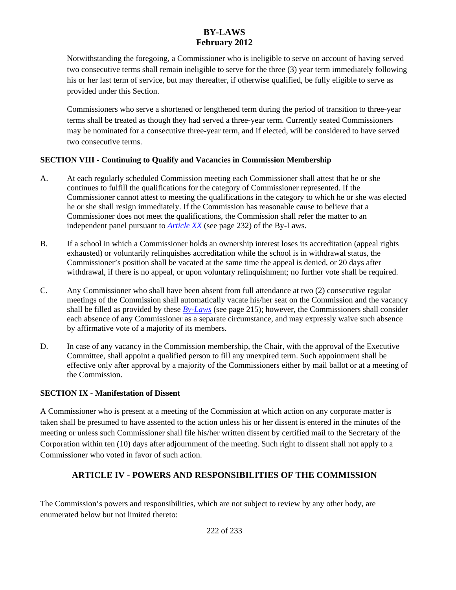Notwithstanding the foregoing, a Commissioner who is ineligible to serve on account of having served two consecutive terms shall remain ineligible to serve for the three (3) year term immediately following his or her last term of service, but may thereafter, if otherwise qualified, be fully eligible to serve as provided under this Section.

Commissioners who serve a shortened or lengthened term during the period of transition to three-year terms shall be treated as though they had served a three-year term. Currently seated Commissioners may be nominated for a consecutive three-year term, and if elected, will be considered to have served two consecutive terms.

### **SECTION VIII - Continuing to Qualify and Vacancies in Commission Membership**

- A. At each regularly scheduled Commission meeting each Commissioner shall attest that he or she continues to fulfill the qualifications for the category of Commissioner represented. If the Commissioner cannot attest to meeting the qualifications in the category to which he or she was elected he or she shall resign immediately. If the Commission has reasonable cause to believe that a Commissioner does not meet the qualifications, the Commission shall refer the matter to an independent panel pursuant to *Article XX* (see page 232) of the By-Laws.
- B. If a school in which a Commissioner holds an ownership interest loses its accreditation (appeal rights exhausted) or voluntarily relinquishes accreditation while the school is in withdrawal status, the Commissioner's position shall be vacated at the same time the appeal is denied, or 20 days after withdrawal, if there is no appeal, or upon voluntary relinquishment; no further vote shall be required.
- C. Any Commissioner who shall have been absent from full attendance at two (2) consecutive regular meetings of the Commission shall automatically vacate his/her seat on the Commission and the vacancy shall be filled as provided by these *By-Laws* (see page 215); however, the Commissioners shall consider each absence of any Commissioner as a separate circumstance, and may expressly waive such absence by affirmative vote of a majority of its members.
- D. In case of any vacancy in the Commission membership, the Chair, with the approval of the Executive Committee, shall appoint a qualified person to fill any unexpired term. Such appointment shall be effective only after approval by a majority of the Commissioners either by mail ballot or at a meeting of the Commission.

### **SECTION IX - Manifestation of Dissent**

A Commissioner who is present at a meeting of the Commission at which action on any corporate matter is taken shall be presumed to have assented to the action unless his or her dissent is entered in the minutes of the meeting or unless such Commissioner shall file his/her written dissent by certified mail to the Secretary of the Corporation within ten (10) days after adjournment of the meeting. Such right to dissent shall not apply to a Commissioner who voted in favor of such action.

# **ARTICLE IV - POWERS AND RESPONSIBILITIES OF THE COMMISSION**

The Commission's powers and responsibilities, which are not subject to review by any other body, are enumerated below but not limited thereto: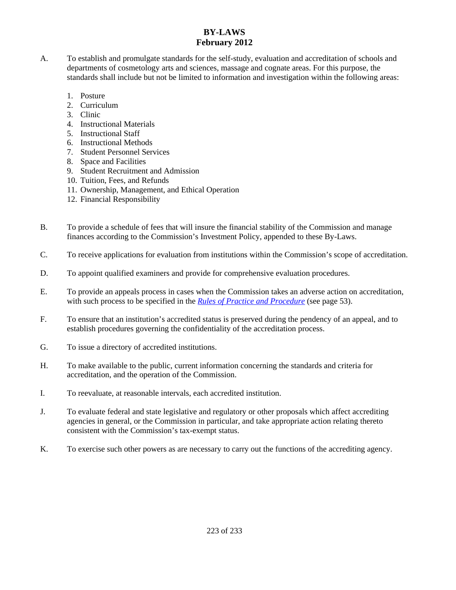- A. To establish and promulgate standards for the self-study, evaluation and accreditation of schools and departments of cosmetology arts and sciences, massage and cognate areas. For this purpose, the standards shall include but not be limited to information and investigation within the following areas:
	- 1. Posture
	- 2. Curriculum
	- 3. Clinic
	- 4. Instructional Materials
	- 5. Instructional Staff
	- 6. Instructional Methods
	- 7. Student Personnel Services
	- 8. Space and Facilities
	- 9. Student Recruitment and Admission
	- 10. Tuition, Fees, and Refunds
	- 11. Ownership, Management, and Ethical Operation
	- 12. Financial Responsibility
- B. To provide a schedule of fees that will insure the financial stability of the Commission and manage finances according to the Commission's Investment Policy, appended to these By-Laws.
- C. To receive applications for evaluation from institutions within the Commission's scope of accreditation.
- D. To appoint qualified examiners and provide for comprehensive evaluation procedures.
- E. To provide an appeals process in cases when the Commission takes an adverse action on accreditation, with such process to be specified in the *Rules of Practice and Procedure* (see page 53).
- F. To ensure that an institution's accredited status is preserved during the pendency of an appeal, and to establish procedures governing the confidentiality of the accreditation process.
- G. To issue a directory of accredited institutions.
- H. To make available to the public, current information concerning the standards and criteria for accreditation, and the operation of the Commission.
- I. To reevaluate, at reasonable intervals, each accredited institution.
- J. To evaluate federal and state legislative and regulatory or other proposals which affect accrediting agencies in general, or the Commission in particular, and take appropriate action relating thereto consistent with the Commission's tax-exempt status.
- K. To exercise such other powers as are necessary to carry out the functions of the accrediting agency.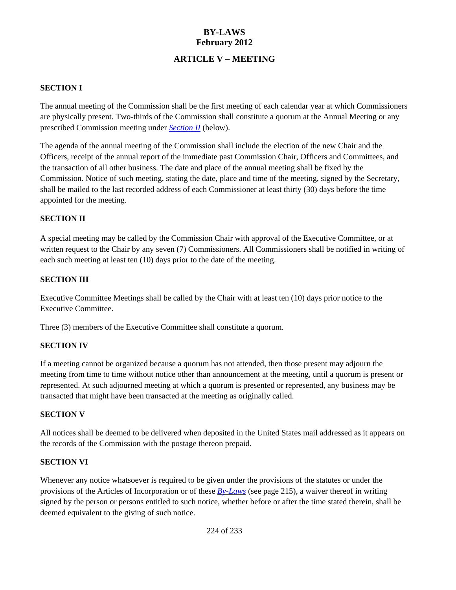### **ARTICLE V – MEETING**

#### **SECTION I**

The annual meeting of the Commission shall be the first meeting of each calendar year at which Commissioners are physically present. Two-thirds of the Commission shall constitute a quorum at the Annual Meeting or any prescribed Commission meeting under *Section II* (below).

The agenda of the annual meeting of the Commission shall include the election of the new Chair and the Officers, receipt of the annual report of the immediate past Commission Chair, Officers and Committees, and the transaction of all other business. The date and place of the annual meeting shall be fixed by the Commission. Notice of such meeting, stating the date, place and time of the meeting, signed by the Secretary, shall be mailed to the last recorded address of each Commissioner at least thirty (30) days before the time appointed for the meeting.

#### **SECTION II**

A special meeting may be called by the Commission Chair with approval of the Executive Committee, or at written request to the Chair by any seven (7) Commissioners. All Commissioners shall be notified in writing of each such meeting at least ten (10) days prior to the date of the meeting.

#### **SECTION III**

Executive Committee Meetings shall be called by the Chair with at least ten (10) days prior notice to the Executive Committee.

Three (3) members of the Executive Committee shall constitute a quorum.

#### **SECTION IV**

If a meeting cannot be organized because a quorum has not attended, then those present may adjourn the meeting from time to time without notice other than announcement at the meeting, until a quorum is present or represented. At such adjourned meeting at which a quorum is presented or represented, any business may be transacted that might have been transacted at the meeting as originally called.

#### **SECTION V**

All notices shall be deemed to be delivered when deposited in the United States mail addressed as it appears on the records of the Commission with the postage thereon prepaid.

#### **SECTION VI**

Whenever any notice whatsoever is required to be given under the provisions of the statutes or under the provisions of the Articles of Incorporation or of these *By-Laws* (see page 215), a waiver thereof in writing signed by the person or persons entitled to such notice, whether before or after the time stated therein, shall be deemed equivalent to the giving of such notice.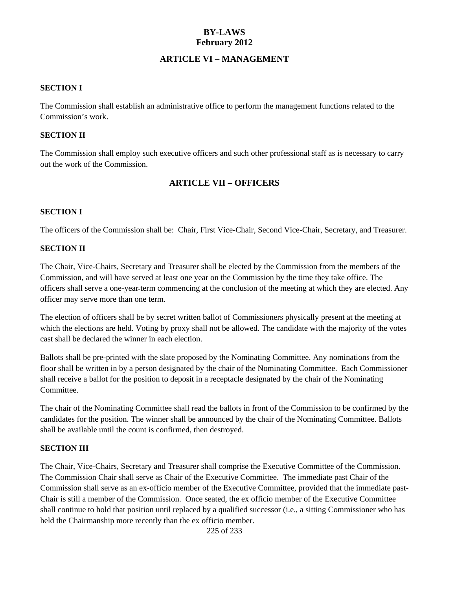#### **ARTICLE VI – MANAGEMENT**

#### **SECTION I**

The Commission shall establish an administrative office to perform the management functions related to the Commission's work.

#### **SECTION II**

The Commission shall employ such executive officers and such other professional staff as is necessary to carry out the work of the Commission.

### **ARTICLE VII – OFFICERS**

#### **SECTION I**

The officers of the Commission shall be: Chair, First Vice-Chair, Second Vice-Chair, Secretary, and Treasurer.

#### **SECTION II**

The Chair, Vice-Chairs, Secretary and Treasurer shall be elected by the Commission from the members of the Commission, and will have served at least one year on the Commission by the time they take office. The officers shall serve a one-year term commencing at the conclusion of the meeting at which they are elected. Any officer may serve more than one term.

The election of officers shall be by secret written ballot of Commissioners physically present at the meeting at which the elections are held. Voting by proxy shall not be allowed. The candidate with the majority of the votes cast shall be declared the winner in each election.

Ballots shall be pre-printed with the slate proposed by the Nominating Committee. Any nominations from the floor shall be written in by a person designated by the chair of the Nominating Committee. Each Commissioner shall receive a ballot for the position to deposit in a receptacle designated by the chair of the Nominating Committee.

The chair of the Nominating Committee shall read the ballots in front of the Commission to be confirmed by the candidates for the position. The winner shall be announced by the chair of the Nominating Committee. Ballots shall be available until the count is confirmed, then destroyed.

#### **SECTION III**

The Chair, Vice-Chairs, Secretary and Treasurer shall comprise the Executive Committee of the Commission. The Commission Chair shall serve as Chair of the Executive Committee. The immediate past Chair of the Commission shall serve as an ex-officio member of the Executive Committee, provided that the immediate past-Chair is still a member of the Commission. Once seated, the ex officio member of the Executive Committee shall continue to hold that position until replaced by a qualified successor (i.e., a sitting Commissioner who has held the Chairmanship more recently than the ex officio member.

225 of 233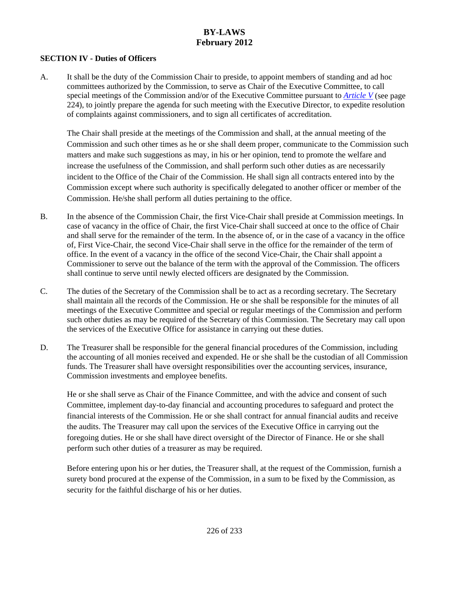### **SECTION IV - Duties of Officers**

A. It shall be the duty of the Commission Chair to preside, to appoint members of standing and ad hoc committees authorized by the Commission, to serve as Chair of the Executive Committee, to call special meetings of the Commission and/or of the Executive Committee pursuant to *Article V* (see page 224), to jointly prepare the agenda for such meeting with the Executive Director, to expedite resolution of complaints against commissioners, and to sign all certificates of accreditation.

The Chair shall preside at the meetings of the Commission and shall, at the annual meeting of the Commission and such other times as he or she shall deem proper, communicate to the Commission such matters and make such suggestions as may, in his or her opinion, tend to promote the welfare and increase the usefulness of the Commission, and shall perform such other duties as are necessarily incident to the Office of the Chair of the Commission. He shall sign all contracts entered into by the Commission except where such authority is specifically delegated to another officer or member of the Commission. He/she shall perform all duties pertaining to the office.

- B. In the absence of the Commission Chair, the first Vice-Chair shall preside at Commission meetings. In case of vacancy in the office of Chair, the first Vice-Chair shall succeed at once to the office of Chair and shall serve for the remainder of the term. In the absence of, or in the case of a vacancy in the office of, First Vice-Chair, the second Vice-Chair shall serve in the office for the remainder of the term of office. In the event of a vacancy in the office of the second Vice-Chair, the Chair shall appoint a Commissioner to serve out the balance of the term with the approval of the Commission. The officers shall continue to serve until newly elected officers are designated by the Commission.
- C. The duties of the Secretary of the Commission shall be to act as a recording secretary. The Secretary shall maintain all the records of the Commission. He or she shall be responsible for the minutes of all meetings of the Executive Committee and special or regular meetings of the Commission and perform such other duties as may be required of the Secretary of this Commission. The Secretary may call upon the services of the Executive Office for assistance in carrying out these duties.
- D. The Treasurer shall be responsible for the general financial procedures of the Commission, including the accounting of all monies received and expended. He or she shall be the custodian of all Commission funds. The Treasurer shall have oversight responsibilities over the accounting services, insurance, Commission investments and employee benefits.

He or she shall serve as Chair of the Finance Committee, and with the advice and consent of such Committee, implement day-to-day financial and accounting procedures to safeguard and protect the financial interests of the Commission. He or she shall contract for annual financial audits and receive the audits. The Treasurer may call upon the services of the Executive Office in carrying out the foregoing duties. He or she shall have direct oversight of the Director of Finance. He or she shall perform such other duties of a treasurer as may be required.

Before entering upon his or her duties, the Treasurer shall, at the request of the Commission, furnish a surety bond procured at the expense of the Commission, in a sum to be fixed by the Commission, as security for the faithful discharge of his or her duties.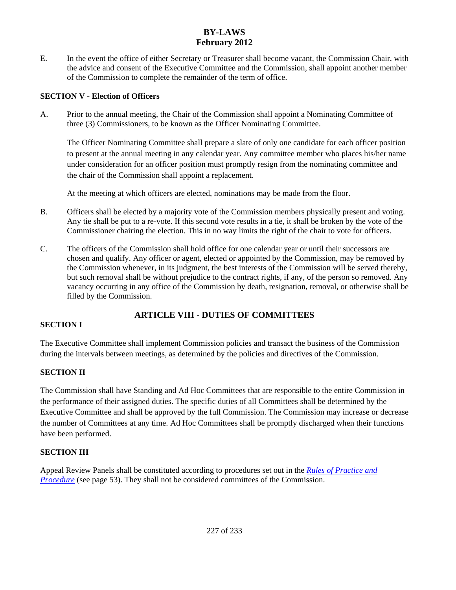E. In the event the office of either Secretary or Treasurer shall become vacant, the Commission Chair, with the advice and consent of the Executive Committee and the Commission, shall appoint another member of the Commission to complete the remainder of the term of office.

### **SECTION V - Election of Officers**

A. Prior to the annual meeting, the Chair of the Commission shall appoint a Nominating Committee of three (3) Commissioners, to be known as the Officer Nominating Committee.

The Officer Nominating Committee shall prepare a slate of only one candidate for each officer position to present at the annual meeting in any calendar year. Any committee member who places his/her name under consideration for an officer position must promptly resign from the nominating committee and the chair of the Commission shall appoint a replacement.

At the meeting at which officers are elected, nominations may be made from the floor.

- B. Officers shall be elected by a majority vote of the Commission members physically present and voting. Any tie shall be put to a re-vote. If this second vote results in a tie, it shall be broken by the vote of the Commissioner chairing the election. This in no way limits the right of the chair to vote for officers.
- C. The officers of the Commission shall hold office for one calendar year or until their successors are chosen and qualify. Any officer or agent, elected or appointed by the Commission, may be removed by the Commission whenever, in its judgment, the best interests of the Commission will be served thereby, but such removal shall be without prejudice to the contract rights, if any, of the person so removed. Any vacancy occurring in any office of the Commission by death, resignation, removal, or otherwise shall be filled by the Commission.

## **ARTICLE VIII - DUTIES OF COMMITTEES**

#### **SECTION I**

The Executive Committee shall implement Commission policies and transact the business of the Commission during the intervals between meetings, as determined by the policies and directives of the Commission.

### **SECTION II**

The Commission shall have Standing and Ad Hoc Committees that are responsible to the entire Commission in the performance of their assigned duties. The specific duties of all Committees shall be determined by the Executive Committee and shall be approved by the full Commission. The Commission may increase or decrease the number of Committees at any time. Ad Hoc Committees shall be promptly discharged when their functions have been performed.

### **SECTION III**

Appeal Review Panels shall be constituted according to procedures set out in the *Rules of Practice and Procedure* (see page 53). They shall not be considered committees of the Commission.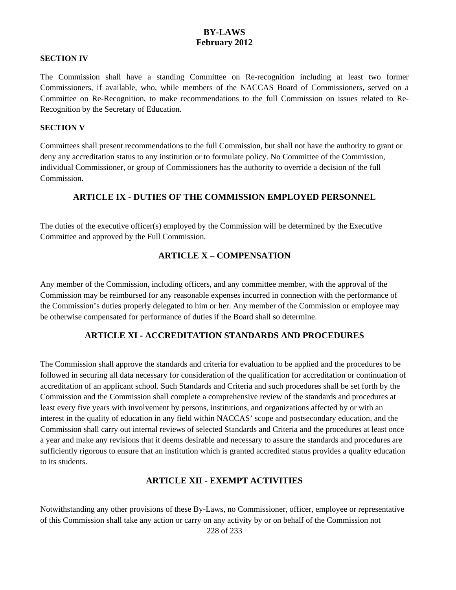#### **SECTION IV**

The Commission shall have a standing Committee on Re-recognition including at least two former Commissioners, if available, who, while members of the NACCAS Board of Commissioners, served on a Committee on Re-Recognition, to make recommendations to the full Commission on issues related to Re-Recognition by the Secretary of Education.

#### **SECTION V**

Committees shall present recommendations to the full Commission, but shall not have the authority to grant or deny any accreditation status to any institution or to formulate policy. No Committee of the Commission, individual Commissioner, or group of Commissioners has the authority to override a decision of the full Commission.

#### **ARTICLE IX - DUTIES OF THE COMMISSION EMPLOYED PERSONNEL**

The duties of the executive officer(s) employed by the Commission will be determined by the Executive Committee and approved by the Full Commission.

### **ARTICLE X – COMPENSATION**

Any member of the Commission, including officers, and any committee member, with the approval of the Commission may be reimbursed for any reasonable expenses incurred in connection with the performance of the Commission's duties properly delegated to him or her. Any member of the Commission or employee may be otherwise compensated for performance of duties if the Board shall so determine.

#### **ARTICLE XI - ACCREDITATION STANDARDS AND PROCEDURES**

The Commission shall approve the standards and criteria for evaluation to be applied and the procedures to be followed in securing all data necessary for consideration of the qualification for accreditation or continuation of accreditation of an applicant school. Such Standards and Criteria and such procedures shall be set forth by the Commission and the Commission shall complete a comprehensive review of the standards and procedures at least every five years with involvement by persons, institutions, and organizations affected by or with an interest in the quality of education in any field within NACCAS' scope and postsecondary education, and the Commission shall carry out internal reviews of selected Standards and Criteria and the procedures at least once a year and make any revisions that it deems desirable and necessary to assure the standards and procedures are sufficiently rigorous to ensure that an institution which is granted accredited status provides a quality education to its students.

#### **ARTICLE XII - EXEMPT ACTIVITIES**

228 of 233 Notwithstanding any other provisions of these By-Laws, no Commissioner, officer, employee or representative of this Commission shall take any action or carry on any activity by or on behalf of the Commission not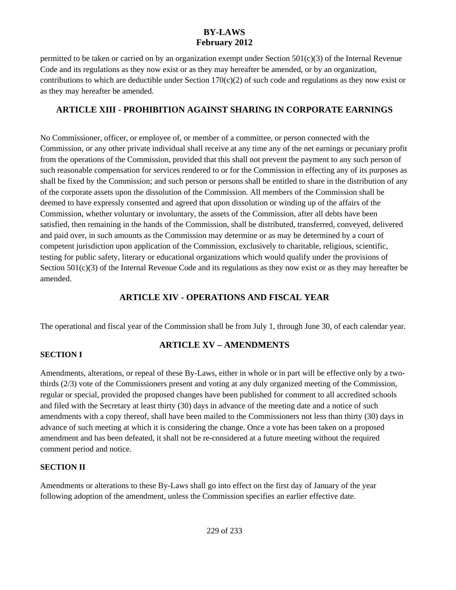permitted to be taken or carried on by an organization exempt under Section  $501(c)(3)$  of the Internal Revenue Code and its regulations as they now exist or as they may hereafter be amended, or by an organization, contributions to which are deductible under Section  $170(c)(2)$  of such code and regulations as they now exist or as they may hereafter be amended.

# **ARTICLE XIII - PROHIBITION AGAINST SHARING IN CORPORATE EARNINGS**

No Commissioner, officer, or employee of, or member of a committee, or person connected with the Commission, or any other private individual shall receive at any time any of the net earnings or pecuniary profit from the operations of the Commission, provided that this shall not prevent the payment to any such person of such reasonable compensation for services rendered to or for the Commission in effecting any of its purposes as shall be fixed by the Commission; and such person or persons shall be entitled to share in the distribution of any of the corporate assets upon the dissolution of the Commission. All members of the Commission shall be deemed to have expressly consented and agreed that upon dissolution or winding up of the affairs of the Commission, whether voluntary or involuntary, the assets of the Commission, after all debts have been satisfied, then remaining in the hands of the Commission, shall be distributed, transferred, conveyed, delivered and paid over, in such amounts as the Commission may determine or as may be determined by a court of competent jurisdiction upon application of the Commission, exclusively to charitable, religious, scientific, testing for public safety, literary or educational organizations which would qualify under the provisions of Section  $501(c)(3)$  of the Internal Revenue Code and its regulations as they now exist or as they may hereafter be amended.

# **ARTICLE XIV - OPERATIONS AND FISCAL YEAR**

The operational and fiscal year of the Commission shall be from July 1, through June 30, of each calendar year.

## **SECTION I**

# **ARTICLE XV – AMENDMENTS**

Amendments, alterations, or repeal of these By-Laws, either in whole or in part will be effective only by a twothirds (2/3) vote of the Commissioners present and voting at any duly organized meeting of the Commission, regular or special, provided the proposed changes have been published for comment to all accredited schools and filed with the Secretary at least thirty (30) days in advance of the meeting date and a notice of such amendments with a copy thereof, shall have been mailed to the Commissioners not less than thirty (30) days in advance of such meeting at which it is considering the change. Once a vote has been taken on a proposed amendment and has been defeated, it shall not be re-considered at a future meeting without the required comment period and notice.

## **SECTION II**

Amendments or alterations to these By-Laws shall go into effect on the first day of January of the year following adoption of the amendment, unless the Commission specifies an earlier effective date.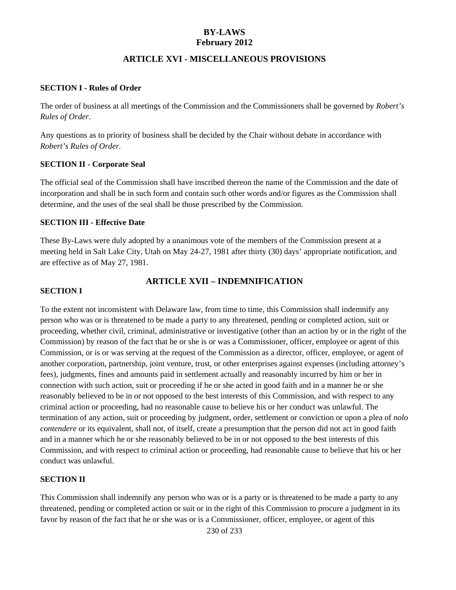### **ARTICLE XVI - MISCELLANEOUS PROVISIONS**

#### **SECTION I - Rules of Order**

The order of business at all meetings of the Commission and the Commissioners shall be governed by *Robert's Rules of Order*.

Any questions as to priority of business shall be decided by the Chair without debate in accordance with *Robert's Rules of Order.*

#### **SECTION II - Corporate Seal**

The official seal of the Commission shall have inscribed thereon the name of the Commission and the date of incorporation and shall be in such form and contain such other words and/or figures as the Commission shall determine, and the uses of the seal shall be those prescribed by the Commission.

#### **SECTION III - Effective Date**

These By-Laws were duly adopted by a unanimous vote of the members of the Commission present at a meeting held in Salt Lake City, Utah on May 24-27, 1981 after thirty (30) days' appropriate notification, and are effective as of May 27, 1981.

#### **SECTION I**

### **ARTICLE XVII – INDEMNIFICATION**

To the extent not inconsistent with Delaware law, from time to time, this Commission shall indemnify any person who was or is threatened to be made a party to any threatened, pending or completed action, suit or proceeding, whether civil, criminal, administrative or investigative (other than an action by or in the right of the Commission) by reason of the fact that he or she is or was a Commissioner, officer, employee or agent of this Commission, or is or was serving at the request of the Commission as a director, officer, employee, or agent of another corporation, partnership, joint venture, trust, or other enterprises against expenses (including attorney's fees), judgments, fines and amounts paid in settlement actually and reasonably incurred by him or her in connection with such action, suit or proceeding if he or she acted in good faith and in a manner he or she reasonably believed to be in or not opposed to the best interests of this Commission, and with respect to any criminal action or proceeding, had no reasonable cause to believe his or her conduct was unlawful. The termination of any action, suit or proceeding by judgment, order, settlement or conviction or upon a plea of *nolo contendere* or its equivalent, shall not, of itself, create a presumption that the person did not act in good faith and in a manner which he or she reasonably believed to be in or not opposed to the best interests of this Commission, and with respect to criminal action or proceeding, had reasonable cause to believe that his or her conduct was unlawful.

#### **SECTION II**

This Commission shall indemnify any person who was or is a party or is threatened to be made a party to any threatened, pending or completed action or suit or in the right of this Commission to procure a judgment in its favor by reason of the fact that he or she was or is a Commissioner, officer, employee, or agent of this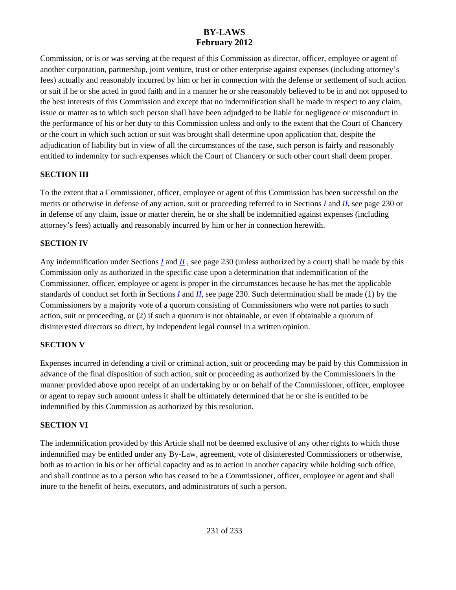Commission, or is or was serving at the request of this Commission as director, officer, employee or agent of another corporation, partnership, joint venture, trust or other enterprise against expenses (including attorney's fees) actually and reasonably incurred by him or her in connection with the defense or settlement of such action or suit if he or she acted in good faith and in a manner he or she reasonably believed to be in and not opposed to the best interests of this Commission and except that no indemnification shall be made in respect to any claim, issue or matter as to which such person shall have been adjudged to be liable for negligence or misconduct in the performance of his or her duty to this Commission unless and only to the extent that the Court of Chancery or the court in which such action or suit was brought shall determine upon application that, despite the adjudication of liability but in view of all the circumstances of the case, such person is fairly and reasonably entitled to indemnity for such expenses which the Court of Chancery or such other court shall deem proper.

### **SECTION III**

To the extent that a Commissioner, officer, employee or agent of this Commission has been successful on the merits or otherwise in defense of any action, suit or proceeding referred to in Sections *I* and *II*, see page 230 or in defense of any claim, issue or matter therein, he or she shall be indemnified against expenses (including attorney's fees) actually and reasonably incurred by him or her in connection herewith.

### **SECTION IV**

Any indemnification under Sections *I* and *II*, see page 230 (unless authorized by a court) shall be made by this Commission only as authorized in the specific case upon a determination that indemnification of the Commissioner, officer, employee or agent is proper in the circumstances because he has met the applicable standards of conduct set forth in Sections *I* and *II*, see page 230. Such determination shall be made (1) by the Commissioners by a majority vote of a quorum consisting of Commissioners who were not parties to such action, suit or proceeding, or (2) if such a quorum is not obtainable, or even if obtainable a quorum of disinterested directors so direct, by independent legal counsel in a written opinion.

### **SECTION V**

Expenses incurred in defending a civil or criminal action, suit or proceeding may be paid by this Commission in advance of the final disposition of such action, suit or proceeding as authorized by the Commissioners in the manner provided above upon receipt of an undertaking by or on behalf of the Commissioner, officer, employee or agent to repay such amount unless it shall be ultimately determined that he or she is entitled to be indemnified by this Commission as authorized by this resolution.

### **SECTION VI**

The indemnification provided by this Article shall not be deemed exclusive of any other rights to which those indemnified may be entitled under any By-Law, agreement, vote of disinterested Commissioners or otherwise, both as to action in his or her official capacity and as to action in another capacity while holding such office, and shall continue as to a person who has ceased to be a Commissioner, officer, employee or agent and shall inure to the benefit of heirs, executors, and administrators of such a person.